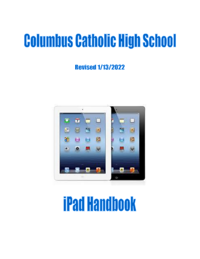# **Columbus Catholic High School**

**Revised 1/13/2022** 



# **iPad Handbook**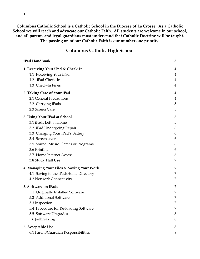**Columbus Catholic School is a Catholic School in the Diocese of La Crosse. As a Catholic School we will teach and advocate our Catholic Faith. All students are welcome in our school, and all parents and legal guardians must understand that Catholic Doctrine will be taught. The passing on of our Catholic Faith is our number one priority.**

# **Columbus Catholic High School**

| iPad Handbook                             | 3 |
|-------------------------------------------|---|
| 1. Receiving Your iPad & Check-In         | 4 |
| 1.1 Receiving Your iPad                   | 4 |
| 1.2 iPad Check-In                         | 4 |
| 1.3 Check-In Fines                        | 4 |
| 2. Taking Care of Your iPad               | 4 |
| 2.1 General Precautions                   | 4 |
| 2.2 Carrying iPads                        | 5 |
| 2.3 Screen Care                           | 5 |
| 3. Using Your IPad at School              | 5 |
| 3.1 iPads Left at Home                    | 5 |
| 3.2 iPad Undergoing Repair                | 6 |
| 3.3 Charging Your iPad's Battery          | 6 |
| 3.4 Screensavers                          | 6 |
| 3.5 Sound, Music, Games or Programs       | 6 |
| 3.6 Printing                              | 6 |
| 3.7 Home Internet Access                  | 6 |
| 3.8 Study Hall Use                        | 7 |
| 4. Managing Your Files & Saving Your Work | 7 |
| 4.1 Saving to the iPad/Home Directory     | 7 |
| 4.2 Network Connectivity                  | 7 |
| 5. Software on iPads                      | 7 |
| 5.1 Originally Installed Software         | 7 |
| 5.2 Additional Software                   | 7 |
| 5.3 Inspection                            | 7 |
| 5.4 Procedure for Re-loading Software     | 7 |
| 5.5 Software Upgrades                     | 8 |
| 5.6 Jailbreaking                          | 8 |
| 6. Acceptable Use                         | 8 |
| 6.1 Parent/Guardian Responsibilities      | 8 |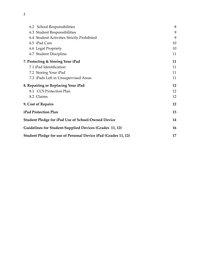| 6.2 School Responsibilities                                    | 8  |
|----------------------------------------------------------------|----|
| 6.3 Student Responsibilities                                   | 9  |
| 6.4 Student Activities Strictly Prohibited                     | 9  |
| 6.5 iPad Care                                                  | 10 |
| 6.6 Legal Propriety                                            | 10 |
| 6.7 Student Discipline                                         | 11 |
| 7. Protecting & Storing Your iPad                              | 11 |
| 7.1 iPad Identification                                        | 11 |
| 7.2 Storing Your iPad                                          | 11 |
| 7.3 iPads Left in Unsupervised Areas                           | 11 |
| 8. Repairing or Replacing Your iPad                            | 12 |
| 8.1 CCS Protection Plan                                        | 12 |
| 8.2 Claims                                                     | 12 |
| 9. Cost of Repairs                                             | 12 |
| iPad Protection Plan                                           | 13 |
| <b>Student Pledge for iPad Use of School-Owned Device</b>      | 14 |
| Guidelines for Student-Supplied Devices (Grades 11, 12)        |    |
| Student Pledge for use of Personal Device iPad (Grades 11, 12) |    |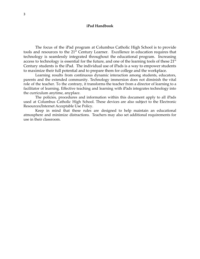#### **iPad Handbook**

<span id="page-3-0"></span>The focus of the iPad program at Columbus Catholic High School is to provide tools and resources to the 21<sup>st</sup> Century Learner. Excellence in education requires that technology is seamlessly integrated throughout the educational program. Increasing access to technology is essential for the future, and one of the learning tools of these  $21<sup>st</sup>$ Century students is the iPad. The individual use of iPads is a way to empower students to maximize their full potential and to prepare them for college and the workplace.

Learning results from continuous dynamic interaction among students, educators, parents and the extended community. Technology immersion does not diminish the vital role of the teacher. To the contrary, it transforms the teacher from a director of learning to a facilitator of learning. Effective teaching and learning with iPads integrates technology into the curriculum anytime, anyplace.

The policies, procedures and information within this document apply to all iPads used at Columbus Catholic High School. These devices are also subject to the Electronic Resources/Internet Acceptable Use Policy.

Keep in mind that these rules are designed to help maintain an educational atmosphere and minimize distractions. Teachers may also set additional requirements for use in their classroom.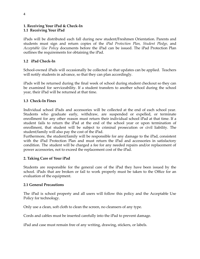## <span id="page-4-1"></span><span id="page-4-0"></span>**1. Receiving Your iPad & Check‐In 1.1 Receiving Your iPad**

iPads will be distributed each fall during new student/Freshmen Orientation. Parents and students must sign and return copies of the *iPad Protection Plan, Student Pledge,* and *Acceptable Use Policy* documents before the iPad can be issued. The iPad Protection Plan outlines the requirements for obtaining the iPad.

## <span id="page-4-2"></span>**1.2 iPad Check‐In**

School-owned iPads will occasionally be collected so that updates can be applied. Teachers will notify students in advance, so that they can plan accordingly.

iPads will be returned during the final week of school during student checkout so they can be examined for serviceability. If a student transfers to another school during the school year, their iPad will be returned at that time.

## <span id="page-4-3"></span>**1.3 Check‐In Fines**

Individual school iPads and accessories will be collected at the end of each school year. Students who graduate early, withdraw, are suspended or expelled, or terminate enrollment for any other reason must return their individual school iPad at that time. If a student fails to return the iPad at the end of the school year or upon termination of enrollment, that student will be subject to criminal prosecution or civil liability. The student/family will also pay the cost of the iPad.

Furthermore, the student/family will be responsible for any damage to the iPad, consistent with the iPad Protection Plan and must return the iPad and accessories in satisfactory condition. The student will be charged a fee for any needed repairs and/or replacement of power accessories, not to exceed the replacement cost of the iPad.

## <span id="page-4-4"></span>**2. Taking Care of Your iPad**

Students are responsible for the general care of the iPad they have been issued by the school. iPads that are broken or fail to work properly must be taken to the Office for an evaluation of the equipment.

#### <span id="page-4-5"></span>**2.1 General Precautions**

The iPad is school property and all users will follow this policy and the Acceptable Use Policy for technology.

Only use a clean, soft cloth to clean the screen, no cleansers of any type.

Cords and cables must be inserted carefully into the iPad to prevent damage.

iPad and case must remain free of any writing, drawing, stickers, or labels.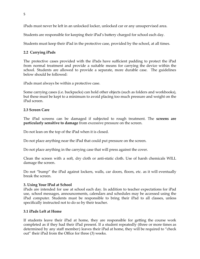iPads must never be left in an unlocked locker, unlocked car or any unsupervised area.

Students are responsible for keeping their iPad's battery charged for school each day.

Students must keep their iPad in the protective case, provided by the school, at all times.

## <span id="page-5-0"></span>**2.2 Carrying iPads**

The protective cases provided with the iPads have sufficient padding to protect the iPad from normal treatment and provide a suitable means for carrying the device within the school. Students are allowed to provide a separate, more durable case. The guidelines below should be followed:

iPads must always be within a protective case.

Some carrying cases (i.e. backpacks) can hold other objects (such as folders and workbooks), but these must be kept to a minimum to avoid placing too much pressure and weight on the iPad screen.

## <span id="page-5-1"></span>**2.3 Screen Care**

The iPad screens can be damaged if subjected to rough treatment. The **screens are particularly sensitive to damage** from excessive pressure on the screen.

Do not lean on the top of the iPad when it is closed.

Do not place anything near the iPad that could put pressure on the screen.

Do not place anything in the carrying case that will press against the cover.

Clean the screen with a soft, dry cloth or anti‐static cloth. Use of harsh chemicals WILL damage the screen.

Do not "bump" the iPad against lockers, walls, car doors, floors, etc. as it will eventually break the screen.

#### <span id="page-5-2"></span>**3. Using Your IPad at School**

iPads are intended for use at school each day. In addition to teacher expectations for iPad use, school messages, announcements, calendars and schedules may be accessed using the iPad computer. Students must be responsible to bring their iPad to all classes, unless specifically instructed not to do so by their teacher.

## <span id="page-5-3"></span>**3.1 iPads Left at Home**

If students leave their iPad at home, they are responsible for getting the course work completed as if they had their iPad present. If a student repeatedly (three or more times as determined by any staff member) leaves their iPad at home, they will be required to "check out" their iPad from the Office for three (3) weeks.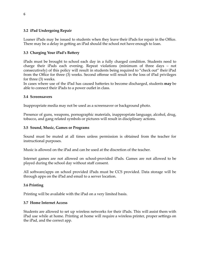## <span id="page-6-0"></span>**3.2 iPad Undergoing Repair**

Loaner iPads may be issued to students when they leave their iPads for repair in the Office. There may be a delay in getting an iPad should the school not have enough to loan.

## <span id="page-6-1"></span>**3.3 Charging Your iPad's Battery**

iPads must be brought to school each day in a fully charged condition. Students need to charge their iPads each evening. Repeat violations (minimum of three days – not consecutively) of this policy will result in students being required to "check out" their iPad from the Office for three (3) weeks. Second offense will result in the loss of iPad privileges for three (3) weeks.

In cases where use of the iPad has caused batteries to become discharged, students **may** be able to connect their iPads to a power outlet in class.

## <span id="page-6-2"></span>**3.4 Screensavers**

Inappropriate media may not be used as a screensaver or background photo.

Presence of guns, weapons, pornographic materials, inappropriate language, alcohol, drug, tobacco, and gang related symbols or pictures will result in disciplinary actions.

## <span id="page-6-3"></span>**3.5 Sound, Music, Games or Programs**

Sound must be muted at all times unless permission is obtained from the teacher for instructional purposes.

Music is allowed on the iPad and can be used at the discretion of the teacher.

Internet games are not allowed on school-provided iPads. Games are not allowed to be played during the school day without staff consent.

All software/apps on school provided iPads must be CCS provided. Data storage will be through apps on the iPad and email to a server location.

## <span id="page-6-4"></span>**3.6 Printing**

Printing will be available with the iPad on a very limited basis.

#### <span id="page-6-5"></span>**3.7 Home Internet Access**

Students are allowed to set up wireless networks for their iPads. This will assist them with iPad use while at home. Printing at home will require a wireless printer, proper settings on the iPad, and the correct app.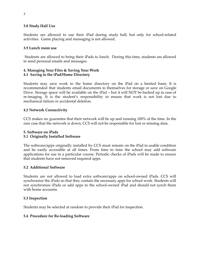## <span id="page-7-0"></span>**3.8 Study Hall Use**

Students are allowed to use their iPad during study hall, but only for school-related activities. Game playing and messaging is not allowed.

#### **3.9 Lunch room use**

Students are allowed to bring their iPads to lunch. During this time, students are allowed to send personal emails and messages.

## <span id="page-7-2"></span><span id="page-7-1"></span>**4. Managing Your Files & Saving Your Work 4.1 Saving to the iPad/Home Directory**

Students may save work to the home directory on the iPad on a limited basis. It is recommended that students email documents to themselves for storage or save on Google Drive. Storage space will be available on the iPad – but it will NOT be backed up in case of re‐imaging. It is the student's responsibility to ensure that work is not lost due to mechanical failure or accidental deletion.

## <span id="page-7-3"></span>**4.2 Network Connectivity**

CCS makes no guarantee that their network will be up and running 100% of the time. In the rare case that the network is down, CCS will not be responsible for lost or missing data.

#### <span id="page-7-5"></span><span id="page-7-4"></span>**5. Software on iPads 5.1 Originally Installed Software**

The software/apps originally installed by CCS must remain on the iPad in usable condition and be easily accessible at all times. From time to time the school may add software applications for use in a particular course. Periodic checks of iPads will be made to ensure that students have not removed required apps.

#### <span id="page-7-6"></span>**5.2 Additional Software**

Students are not allowed to load extra software/apps on school-owned iPads. CCS will synchronize the iPads so that they contain the necessary apps for school work. Students will not synchronize iPads or add apps to the school-owned iPad and should not synch them with home accounts.

#### <span id="page-7-7"></span>**5.3 Inspection**

Students may be selected at random to provide their iPad for inspection.

#### <span id="page-7-8"></span>**5.4 Procedure for Re‐loading Software**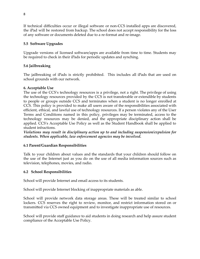If technical difficulties occur or illegal software or non‐CCS installed apps are discovered, the iPad will be restored from backup. The school does not accept responsibility for the loss of any software or documents deleted due to a re‐format and re‐image.

## <span id="page-8-0"></span>**5.5 Software Upgrades**

Upgrade versions of licensed software/apps are available from time to time. Students may be required to check in their iPads for periodic updates and synching.

## <span id="page-8-1"></span>**5.6 Jailbreaking**

The jailbreaking of iPads is strictly prohibited. This includes all iPads that are used on school grounds with our network.

## <span id="page-8-2"></span>**6. Acceptable Use**

The use of the CCS's technology resources is a privilege, not a right. The privilege of using the technology resources provided by the CCS is not transferable or extendible by students to people or groups outside CCS and terminates when a student is no longer enrolled at CCS. This policy is provided to make all users aware of the responsibilities associated with efficient, ethical, and lawful use of technology resources. If a person violates any of the User Terms and Conditions named in this policy, privileges may be terminated, access to the technology resources may be denied, and the appropriate disciplinary action shall be applied. CCS's Acceptable Use Policy as well as the Student Handbook shall be applied to student infractions.

*Violations may result in disciplinary action up to and including suspension/expulsion for students. When applicable, law enforcement agencies may be involved.*

## <span id="page-8-3"></span>**6.1 Parent/Guardian Responsibilities**

Talk to your children about values and the standards that your children should follow on the use of the Internet just as you do on the use of all media information sources such as television, telephones, movies, and radio.

## <span id="page-8-4"></span>**6.2 School Responsibilities**

School will provide Internet and email access to its students.

School will provide Internet blocking of inappropriate materials as able.

School will provide network data storage areas. These will be treated similar to school lockers. CCS reserves the right to review, monitor, and restrict information stored on or transmitted via CCS owned equipment and to investigate inappropriate use of resources.

School will provide staff guidance to aid students in doing research and help assure student compliance of the Acceptable Use Policy.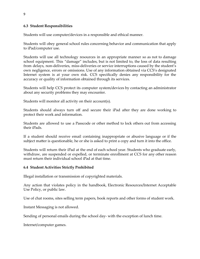## <span id="page-9-0"></span>**6.3 Student Responsibilities**

Students will use computer/devices in a responsible and ethical manner.

Students will obey general school rules concerning behavior and communication that apply to iPad/computer use.

Students will use all technology resources in an appropriate manner so as not to damage school equipment. This "damage" includes, but is not limited to, the loss of data resulting from delays, non-deliveries, miss-deliveries or service interruptions caused by the student's own negligence, errors or omissions. Use of any information obtained via CCS's designated Internet system is at your own risk. CCS specifically denies any responsibility for the accuracy or quality of information obtained through its services.

Students will help CCS protect its computer system/devices by contacting an administrator about any security problems they may encounter.

Students will monitor all activity on their account(s).

Students should always turn off and secure their iPad after they are done working to protect their work and information.

Students are allowed to use a Passcode or other method to lock others out from accessing their iPads.

If a student should receive email containing inappropriate or abusive language or if the subject matter is questionable, he or she is asked to print a copy and turn it into the office.

Students will return their iPad at the end of each school year. Students who graduate early, withdraw, are suspended or expelled, or terminate enrollment at CCS for any other reason must return their individual school iPad at that time.

#### <span id="page-9-1"></span>**6.4 Student Activities Strictly Prohibited**

Illegal installation or transmission of copyrighted materials.

Any action that violates policy in the handbook, Electronic Resources/Internet Acceptable Use Policy, or public law.

Use of chat rooms, sites selling term papers, book reports and other forms of student work.

Instant Messaging is not allowed.

Sending of personal emails during the school day- with the exception of lunch time.

Internet/computer games.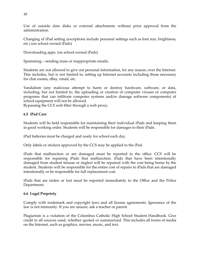Use of outside data disks or external attachments without prior approval from the administration.

Changing of iPad setting (exceptions include personal settings such as font size, brightness, etc.) (on school owned iPads)

Downloading apps. (on school owned iPads)

Spamming – sending mass or inappropriate emails.

Students are not allowed to give out personal information, for any reason, over the Internet. This includes, but is not limited to, setting up Internet accounts including those necessary for chat rooms, eBay, email, etc.

Vandalism (any malicious attempt to harm or destroy hardware, software, or data, including, but not limited to, the uploading or creation of computer viruses or computer programs that can infiltrate computer systems and/or damage software components) of school equipment will not be allowed.

Bypassing the CCS web filter through a web proxy.

#### <span id="page-10-0"></span>**6.5 iPad Care**

Students will be held responsible for maintaining their individual iPads and keeping them in good working order. Students will be responsible for damages to their iPads.

iPad batteries must be charged and ready for school each day.

Only labels or stickers approved by the CCS may be applied to the iPad.

iPads that malfunction or are damaged must be reported to the office. CCS will be responsible for repairing iPads that malfunction. iPads that have been intentionally damaged from student misuse or neglect will be repaired with the cost being borne by the student. Students will be responsible for the entire cost of repairs to iPads that are damaged intentionally or be responsible for full replacement cost.

iPads that are stolen or lost must be reported immediately to the Office and the Police Department.

#### <span id="page-10-1"></span>**6.6 Legal Propriety**

Comply with trademark and copyright laws and all license agreements. Ignorance of the law is not immunity. If you are unsure, ask a teacher or parent.

Plagiarism is a violation of the Columbus Catholic High School Student Handbook. Give credit to all sources used, whether quoted or summarized. This includes all forms of media on the Internet, such as graphics, movies, music, and text.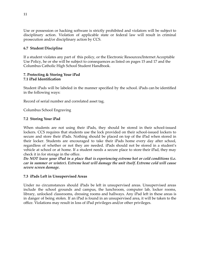Use or possession or hacking software is strictly prohibited and violators will be subject to disciplinary action. Violation of applicable state or federal law will result in criminal prosecution and/or disciplinary action by CCS.

## <span id="page-11-0"></span>**6.7 Student Discipline**

If a student violates any part of this policy, or the Electronic Resources/Internet Acceptable Use Policy, he or she will be subject to consequences as listed on pages 15 and 17 and the Columbus Catholic High School Student Handbook.

#### <span id="page-11-2"></span><span id="page-11-1"></span>**7. Protecting & Storing Your iPad 7.1 iPad Identification**

Student iPads will be labeled in the manner specified by the school. iPads can be identified in the following ways:

Record of serial number and correlated asset tag.

Columbus School Engraving

## <span id="page-11-3"></span>**7.2 Storing Your iPad**

When students are not using their iPads, they should be stored in their school-issued lockers. CCS requires that students use the lock provided on their school‐issued lockers to secure and store their iPads. Nothing should be placed on top of the iPad when stored in their locker. Students are encouraged to take their iPads home every day after school, regardless of whether or not they are needed. iPads should not be stored in a student's vehicle at school or at home. If a student needs a secure place to store their iPad, they may check it in for storage in the office.

*Do NOT leave your iPad in a place that is experiencing extreme hot or cold conditions (i.e. car in summer or winter). Extreme heat will damage the unit itself. Extreme cold will cause severe screen damage.*

#### <span id="page-11-4"></span>**7.3 iPads Left in Unsupervised Areas**

Under no circumstances should iPads be left in unsupervised areas. Unsupervised areas include the school grounds and campus, the lunchroom, computer lab, locker rooms, library, unlocked classrooms, dressing rooms and hallways. Any iPad left in these areas is in danger of being stolen. If an iPad is found in an unsupervised area, it will be taken to the office. Violations may result in loss of iPad privileges and/or other privileges.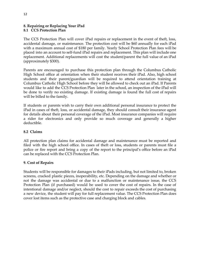## <span id="page-12-1"></span><span id="page-12-0"></span>**8. Repairing or Replacing Your iPad 8.1 CCS Protection Plan**

The CCS Protection Plan will cover iPad repairs or replacement in the event of theft, loss, accidental damage, or maintenance. The protection cost will be \$60 annually for each iPad with a maximum annual cost of \$180 per family. Yearly School Protection Plan fees will be placed into an account to self‐fund iPad repairs and replacement. This plan will include one replacement. Additional replacements will cost the student/parent the full value of an iPad (approximately \$300).

Parents are encouraged to purchase this protection plan through the Columbus Catholic High School office at orientation when their student receives their iPad. Also, high school students and their parent/guardian will be required to attend orientation training at Columbus Catholic High School before they will be allowed to check out an iPad. If Parents would like to add the CCS Protection Plan later in the school, an inspection of the iPad will be done to verify no existing damage. If existing damage is found the full cost of repairs will be billed to the family.

If students or parents wish to carry their own additional personal insurance to protect the iPad in cases of theft, loss, or accidental damage, they should consult their insurance agent for details about their personal coverage of the iPad. Most insurance companies will require a rider for electronics and only provide so much coverage and generally a higher deductible.

## <span id="page-12-2"></span>**8.2 Claims**

All protection plan claims for accidental damage and maintenance must be reported and filed with the high school office. In cases of theft or loss, students or parents must file a police or fire report and bring a copy of the report to the principal's office before an iPad can be replaced with the CCS Protection Plan.

## <span id="page-12-3"></span>**9. Cost of Repairs**

Students will be responsible for damages to their iPads including, but not limited to, broken screens, cracked plastic pieces, inoperability, etc. Depending on the damage and whether or not the damage was accidental or due to a malfunction or maintenance issue, the CCS Protection Plan (if purchased) would be used to cover the cost of repairs. In the case of intentional damage and/or neglect, should the cost to repair exceeds the cost of purchasing a new device, the student will pay for full replacement value. The CCS Protection Plan does cover lost items such as the protective case and charging block and cables.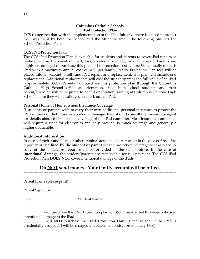## **Columbus Catholic Schools iPad Protection Plan**

<span id="page-13-0"></span>CCS recognizes that with the implementation of the iPad Initiative there is a need to protect the investment by both the School and the Student/Parent. The following outlines the School Protection Plan.

#### **CCS iPad Protection Plan**

The CCS iPad Protection Plan is available for students and parents to cover iPad repairs or replacement in the event of theft, loss, accidental damage, or maintenance. Parents are highly encouraged to purchase this plan. The protection cost will be \$60 annually for each iPad with a maximum annual cost of \$180 per family. Yearly Protection Plan fees will be placed into an account to self‐fund iPad repairs and replacement. This plan will include one replacement. Additional replacements will cost the student/parent the full value of an iPad (approximately \$300). Parents can purchase this protection plan through the Columbus Catholic High School office at orientation. Also, high school students and their parent/guardian will be required to attend orientation training at Columbus Catholic High School before they will be allowed to check out an iPad.

#### **Personal Home or Homeowners Insurance Coverage**

If students or parents wish to carry their own additional personal insurance to protect the iPad in cases of theft, loss, or accidental damage, they should consult their insurance agent for details about their personal coverage of the iPad computer. Most insurance companies will require a rider for electronics and only provide so much coverage and generally a higher deductible.

#### **Additional Information**

In cases of theft, vandalism, or other criminal acts, a police report, or in the case of fire, a fire report **must be filed by the student or parent** for the protection coverage to take place. A copy of the police/fire report must be provided to the school office. In the case of **intentional damage**, the student/parents are responsible for full payment. The CCS iPad Protection Plan **DOES NOT** cover intentional damage of the iPads.

## **Do NOT send money. Your family account will be billed.**

**--------------------------------------------------------------------------------------------------------------------------**

Parent Name (please print): \_\_\_\_\_\_\_\_\_\_\_\_\_\_\_\_\_\_\_\_\_\_\_\_\_\_\_\_\_\_\_\_\_\_\_\_\_\_\_\_\_\_\_\_

Parent Signature: \_\_\_\_\_\_\_\_\_\_\_\_\_\_\_\_\_\_\_\_\_\_\_\_\_\_\_\_\_\_\_\_\_\_\_\_\_\_\_

Date: \_\_\_\_\_\_\_\_\_\_\_\_\_\_\_\_\_\_\_\_\_\_\_ Student Name: \_\_\_\_\_\_\_\_\_\_\_\_\_\_\_\_\_\_\_\_\_\_\_\_\_\_

\_\_\_\_\_\_\_\_\_ I will purchase the iPad Protection plan for \$60. I realize that this does not cover intentional damage to the iPad.

I will **NOT** purchase the iPad Protection Plan. I realize that if the iPad is accidentally dropped, I will be charged a replacement cost(approximately \$300).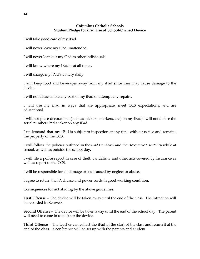## **Columbus Catholic Schools Student Pledge for iPad Use of School-Owned Device**

<span id="page-14-0"></span>I will take good care of my iPad.

I will never leave my iPad unattended.

I will never loan out my iPad to other individuals.

I will know where my iPad is at all times.

I will charge my iPad's battery daily.

I will keep food and beverages away from my iPad since they may cause damage to the device.

I will not disassemble any part of my iPad or attempt any repairs.

I will use my iPad in ways that are appropriate, meet CCS expectations, and are educational.

I will not place decorations (such as stickers, markers, etc.) on my iPad; I will not deface the serial number iPad sticker on any iPad.

I understand that my iPad is subject to inspection at any time without notice and remains the property of the CCS.

I will follow the policies outlined in the *iPad Handbook* and the *Acceptable Use Policy* while at school, as well as outside the school day.

I will file a police report in case of theft, vandalism, and other acts covered by insurance as well as report to the CCS.

I will be responsible for all damage or loss caused by neglect or abuse.

I agree to return the iPad, case and power cords in good working condition.

Consequences for not abiding by the above guidelines:

**First Offense** – The device will be taken away until the end of the class. The infraction will be recorded in Renweb.

**Second Offense** – The device will be taken away until the end of the school day. The parent will need to come in to pick up the device.

**Third Offense** – The teacher can collect the iPad at the start of the class and return it at the end of the class. A conference will be set up with the parents and student.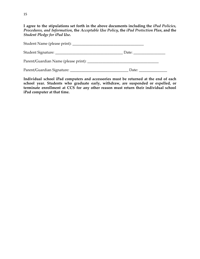**I agree to the stipulations set forth in the above documents including the** *iPad Policies, Procedures, and Information***, the** *Acceptable Use Policy***, the** *iPad Protection Plan***, and the** *Student Pledge for iPad Use***.**

|                                      | Date: |
|--------------------------------------|-------|
| Parent/Guardian Name (please print): |       |
|                                      | Date: |

**Individual school iPad computers and accessories must be returned at the end of each school year. Students who graduate early, withdraw, are suspended or expelled, or terminate enrollment at CCS for any other reason must return their individual school iPad computer at that time.**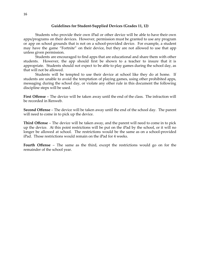#### **Guidelines for Student-Supplied Devices (Grades 11, 12)**

<span id="page-16-0"></span>Students who provide their own iPad or other device will be able to have their own apps/programs on their devices. However, permission must be granted to use any program or app on school grounds that is not on a school-provided device. For example, a student may have the game "Fortnite" on their device, but they are not allowed to use that app unless given permission.

Students are encouraged to find apps that are educational and share them with other students. However, the app should first be shown to a teacher to insure that it is appropriate. Students should not expect to be able to play games during the school day, as that will not be allowed.

Students will be tempted to use their device at school like they do at home. If students are unable to avoid the temptation of playing games, using other prohibited apps, messaging during the school day, or violate any other rule in this document the following discipline steps will be used.

**First Offense** – The device will be taken away until the end of the class. The infraction will be recorded in Renweb.

**Second Offense** – The device will be taken away until the end of the school day. The parent will need to come in to pick up the device.

**Third Offense** – The device will be taken away, and the parent will need to come in to pick up the device. At this point restrictions will be put on the iPad by the school, or it will no longer be allowed at school. The restrictions would be the same as on a school-provided iPad. Those restrictions would remain on the iPad for 4 weeks.

**Fourth Offense** – The same as the third, except the restrictions would go on for the remainder of the school year.